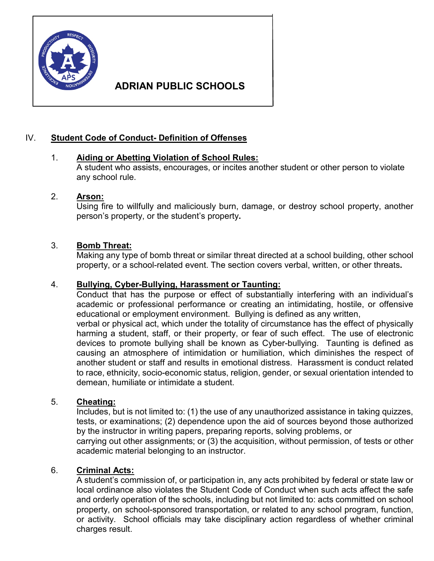

# **ADRIAN PUBLIC SCHOOLS**

# IV. **Student Code of Conduct- Definition of Offenses**

# 1. **Aiding or Abetting Violation of School Rules:**

A student who assists, encourages, or incites another student or other person to violate any school rule.

# 2. **Arson:**

Using fire to willfully and maliciously burn, damage, or destroy school property, another person's property, or the student's property**.** 

# 3. **Bomb Threat:**

Making any type of bomb threat or similar threat directed at a school building, other school property, or a school-related event. The section covers verbal, written, or other threats**.**

# 4. **Bullying, Cyber-Bullying, Harassment or Taunting:**

Conduct that has the purpose or effect of substantially interfering with an individual's academic or professional performance or creating an intimidating, hostile, or offensive educational or employment environment. Bullying is defined as any written, verbal or physical act, which under the totality of circumstance has the effect of physically harming a student, staff, or their property, or fear of such effect. The use of electronic

devices to promote bullying shall be known as Cyber-bullying. Taunting is defined as causing an atmosphere of intimidation or humiliation, which diminishes the respect of another student or staff and results in emotional distress. Harassment is conduct related to race, ethnicity, socio-economic status, religion, gender, or sexual orientation intended to demean, humiliate or intimidate a student.

# 5. **Cheating:**

Includes, but is not limited to: (1) the use of any unauthorized assistance in taking quizzes, tests, or examinations; (2) dependence upon the aid of sources beyond those authorized by the instructor in writing papers, preparing reports, solving problems, or

carrying out other assignments; or (3) the acquisition, without permission, of tests or other academic material belonging to an instructor.

# 6. **Criminal Acts:**

A student's commission of, or participation in, any acts prohibited by federal or state law or local ordinance also violates the Student Code of Conduct when such acts affect the safe and orderly operation of the schools, including but not limited to: acts committed on school property, on school-sponsored transportation, or related to any school program, function, or activity. School officials may take disciplinary action regardless of whether criminal charges result.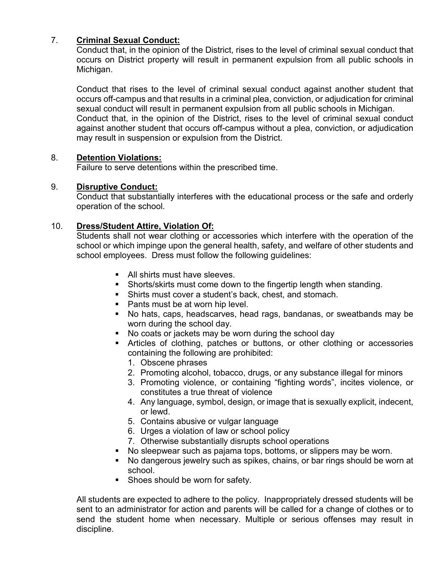# 7. **Criminal Sexual Conduct:**

Conduct that, in the opinion of the District, rises to the level of criminal sexual conduct that occurs on District property will result in permanent expulsion from all public schools in Michigan.

Conduct that rises to the level of criminal sexual conduct against another student that occurs off-campus and that results in a criminal plea, conviction, or adjudication for criminal sexual conduct will result in permanent expulsion from all public schools in Michigan. Conduct that, in the opinion of the District, rises to the level of criminal sexual conduct against another student that occurs off-campus without a plea, conviction, or adjudication may result in suspension or expulsion from the District.

# 8. **Detention Violations:**

Failure to serve detentions within the prescribed time.

# 9. **Disruptive Conduct:**

Conduct that substantially interferes with the educational process or the safe and orderly operation of the school.

# 10. **Dress/Student Attire, Violation Of:**

Students shall not wear clothing or accessories which interfere with the operation of the school or which impinge upon the general health, safety, and welfare of other students and school employees. Dress must follow the following guidelines:

- All shirts must have sleeves.
- Shorts/skirts must come down to the fingertip length when standing.
- Shirts must cover a student's back, chest, and stomach.
- Pants must be at worn hip level.
- No hats, caps, headscarves, head rags, bandanas, or sweatbands may be worn during the school day.
- No coats or jackets may be worn during the school day
- Articles of clothing, patches or buttons, or other clothing or accessories containing the following are prohibited:
	- 1. Obscene phrases
	- 2. Promoting alcohol, tobacco, drugs, or any substance illegal for minors
	- 3. Promoting violence, or containing "fighting words", incites violence, or constitutes a true threat of violence
	- 4. Any language, symbol, design, or image that is sexually explicit, indecent, or lewd.
	- 5. Contains abusive or vulgar language
	- 6. Urges a violation of law or school policy
	- 7. Otherwise substantially disrupts school operations
- No sleepwear such as pajama tops, bottoms, or slippers may be worn.
	- No dangerous jewelry such as spikes, chains, or bar rings should be worn at school.
	- **Shoes should be worn for safety.**

All students are expected to adhere to the policy. Inappropriately dressed students will be sent to an administrator for action and parents will be called for a change of clothes or to send the student home when necessary. Multiple or serious offenses may result in discipline.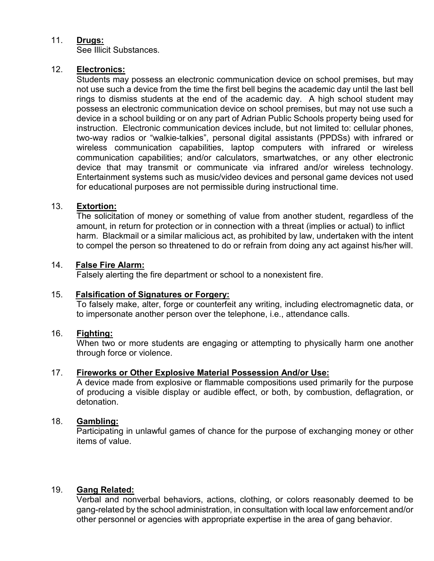# 11. **Drugs:**

See Illicit Substances.

# 12. **Electronics:**

Students may possess an electronic communication device on school premises, but may not use such a device from the time the first bell begins the academic day until the last bell rings to dismiss students at the end of the academic day. A high school student may possess an electronic communication device on school premises, but may not use such a device in a school building or on any part of Adrian Public Schools property being used for instruction. Electronic communication devices include, but not limited to: cellular phones, two-way radios or "walkie-talkies", personal digital assistants (PPDSs) with infrared or wireless communication capabilities, laptop computers with infrared or wireless communication capabilities; and/or calculators, smartwatches, or any other electronic device that may transmit or communicate via infrared and/or wireless technology. Entertainment systems such as music/video devices and personal game devices not used for educational purposes are not permissible during instructional time.

# 13. **Extortion:**

The solicitation of money or something of value from another student, regardless of the amount, in return for protection or in connection with a threat (implies or actual) to inflict harm. Blackmail or a similar malicious act, as prohibited by law, undertaken with the intent to compel the person so threatened to do or refrain from doing any act against his/her will.

# 14. **False Fire Alarm:**

Falsely alerting the fire department or school to a nonexistent fire.

# 15. **Falsification of Signatures or Forgery:**

To falsely make, alter, forge or counterfeit any writing, including electromagnetic data, or to impersonate another person over the telephone, i.e., attendance calls.

# 16. **Fighting:**

When two or more students are engaging or attempting to physically harm one another through force or violence.

# 17. **Fireworks or Other Explosive Material Possession And/or Use:**

A device made from explosive or flammable compositions used primarily for the purpose of producing a visible display or audible effect, or both, by combustion, deflagration, or detonation.

# 18. **Gambling:**

Participating in unlawful games of chance for the purpose of exchanging money or other items of value.

# 19. **Gang Related:**

Verbal and nonverbal behaviors, actions, clothing, or colors reasonably deemed to be gang-related by the school administration, in consultation with local law enforcement and/or other personnel or agencies with appropriate expertise in the area of gang behavior.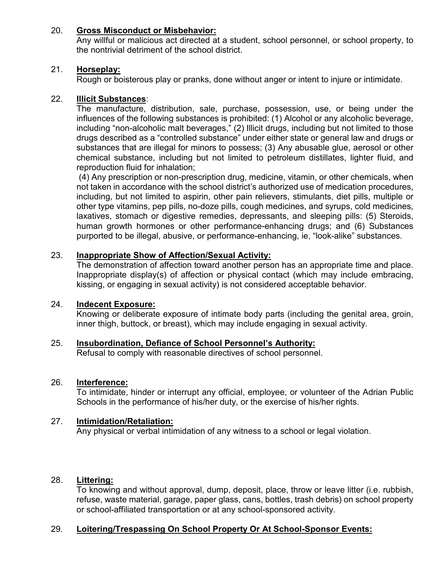# 20. **Gross Misconduct or Misbehavior:**

Any willful or malicious act directed at a student, school personnel, or school property, to the nontrivial detriment of the school district.

# 21. **Horseplay:**

Rough or boisterous play or pranks, done without anger or intent to injure or intimidate.

# 22. **Illicit Substances**:

The manufacture, distribution, sale, purchase, possession, use, or being under the influences of the following substances is prohibited: (1) Alcohol or any alcoholic beverage, including "non-alcoholic malt beverages," (2) Illicit drugs, including but not limited to those drugs described as a "controlled substance" under either state or general law and drugs or substances that are illegal for minors to possess; (3) Any abusable glue, aerosol or other chemical substance, including but not limited to petroleum distillates, lighter fluid, and reproduction fluid for inhalation;

(4) Any prescription or non-prescription drug, medicine, vitamin, or other chemicals, when not taken in accordance with the school district's authorized use of medication procedures, including, but not limited to aspirin, other pain relievers, stimulants, diet pills, multiple or other type vitamins, pep pills, no-doze pills, cough medicines, and syrups, cold medicines, laxatives, stomach or digestive remedies, depressants, and sleeping pills: (5) Steroids, human growth hormones or other performance-enhancing drugs; and (6) Substances purported to be illegal, abusive, or performance-enhancing, ie, "look-alike" substances.

# 23. **Inappropriate Show of Affection/Sexual Activity:**

The demonstration of affection toward another person has an appropriate time and place. Inappropriate display(s) of affection or physical contact (which may include embracing, kissing, or engaging in sexual activity) is not considered acceptable behavior.

# 24. **Indecent Exposure:**

Knowing or deliberate exposure of intimate body parts (including the genital area, groin, inner thigh, buttock, or breast), which may include engaging in sexual activity.

# 25. **Insubordination, Defiance of School Personnel's Authority:**

Refusal to comply with reasonable directives of school personnel.

# 26. **Interference:**

To intimidate, hinder or interrupt any official, employee, or volunteer of the Adrian Public Schools in the performance of his/her duty, or the exercise of his/her rights.

# 27. **Intimidation/Retaliation:**

Any physical or verbal intimidation of any witness to a school or legal violation.

# 28. **Littering:**

To knowing and without approval, dump, deposit, place, throw or leave litter (i.e. rubbish, refuse, waste material, garage, paper glass, cans, bottles, trash debris) on school property or school-affiliated transportation or at any school-sponsored activity.

# 29. **Loitering/Trespassing On School Property Or At School-Sponsor Events:**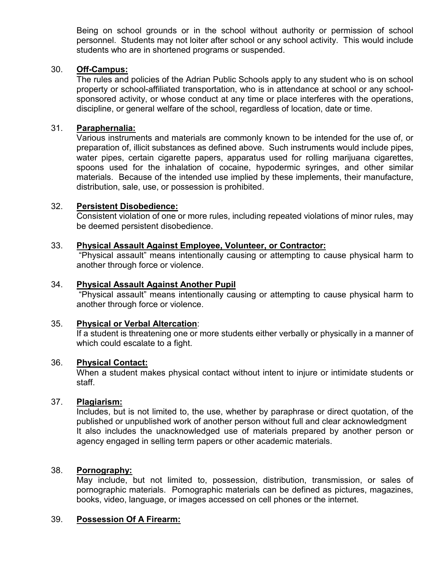Being on school grounds or in the school without authority or permission of school personnel. Students may not loiter after school or any school activity. This would include students who are in shortened programs or suspended.

# 30. **Off-Campus:**

The rules and policies of the Adrian Public Schools apply to any student who is on school property or school-affiliated transportation, who is in attendance at school or any schoolsponsored activity, or whose conduct at any time or place interferes with the operations, discipline, or general welfare of the school, regardless of location, date or time.

#### 31. **Paraphernalia:**

Various instruments and materials are commonly known to be intended for the use of, or preparation of, illicit substances as defined above. Such instruments would include pipes, water pipes, certain cigarette papers, apparatus used for rolling marijuana cigarettes, spoons used for the inhalation of cocaine, hypodermic syringes, and other similar materials. Because of the intended use implied by these implements, their manufacture, distribution, sale, use, or possession is prohibited.

#### 32. **Persistent Disobedience:**

Consistent violation of one or more rules, including repeated violations of minor rules, may be deemed persistent disobedience.

#### 33. **Physical Assault Against Employee, Volunteer, or Contractor:**

"Physical assault" means intentionally causing or attempting to cause physical harm to another through force or violence.

#### 34. **Physical Assault Against Another Pupil**

"Physical assault" means intentionally causing or attempting to cause physical harm to another through force or violence.

#### 35. **Physical or Verbal Altercation**:

If a student is threatening one or more students either verbally or physically in a manner of which could escalate to a fight.

#### 36. **Physical Contact:**

When a student makes physical contact without intent to injure or intimidate students or staff.

#### 37. **Plagiarism:**

Includes, but is not limited to, the use, whether by paraphrase or direct quotation, of the published or unpublished work of another person without full and clear acknowledgment It also includes the unacknowledged use of materials prepared by another person or agency engaged in selling term papers or other academic materials.

#### 38. **Pornography:**

May include, but not limited to, possession, distribution, transmission, or sales of pornographic materials. Pornographic materials can be defined as pictures, magazines, books, video, language, or images accessed on cell phones or the internet.

#### 39. **Possession Of A Firearm:**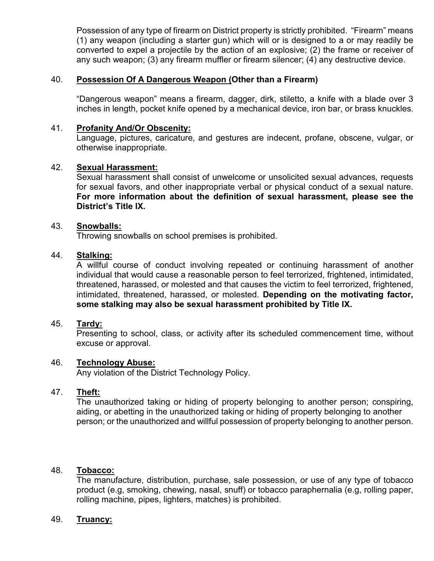Possession of any type of firearm on District property is strictly prohibited. "Firearm" means (1) any weapon (including a starter gun) which will or is designed to a or may readily be converted to expel a projectile by the action of an explosive; (2) the frame or receiver of any such weapon; (3) any firearm muffler or firearm silencer; (4) any destructive device.

# 40. **Possession Of A Dangerous Weapon (Other than a Firearm)**

"Dangerous weapon" means a firearm, dagger, dirk, stiletto, a knife with a blade over 3 inches in length, pocket knife opened by a mechanical device, iron bar, or brass knuckles.

# 41. **Profanity And/Or Obscenity:**

Language, pictures, caricature, and gestures are indecent, profane, obscene, vulgar, or otherwise inappropriate.

# 42. **Sexual Harassment:**

Sexual harassment shall consist of unwelcome or unsolicited sexual advances, requests for sexual favors, and other inappropriate verbal or physical conduct of a sexual nature. **For more information about the definition of sexual harassment, please see the District's Title IX.**

# 43. **Snowballs:**

Throwing snowballs on school premises is prohibited.

# 44. **Stalking:**

A willful course of conduct involving repeated or continuing harassment of another individual that would cause a reasonable person to feel terrorized, frightened, intimidated, threatened, harassed, or molested and that causes the victim to feel terrorized, frightened, intimidated, threatened, harassed, or molested. **Depending on the motivating factor, some stalking may also be sexual harassment prohibited by Title IX.** 

# 45. **Tardy:**

Presenting to school, class, or activity after its scheduled commencement time, without excuse or approval.

# 46. **Technology Abuse:**

Any violation of the District Technology Policy.

# 47. **Theft:**

The unauthorized taking or hiding of property belonging to another person; conspiring, aiding, or abetting in the unauthorized taking or hiding of property belonging to another person; or the unauthorized and willful possession of property belonging to another person.

#### 48. **Tobacco:**

The manufacture, distribution, purchase, sale possession, or use of any type of tobacco product (e.g, smoking, chewing, nasal, snuff) or tobacco paraphernalia (e.g, rolling paper, rolling machine, pipes, lighters, matches) is prohibited.

#### 49. **Truancy:**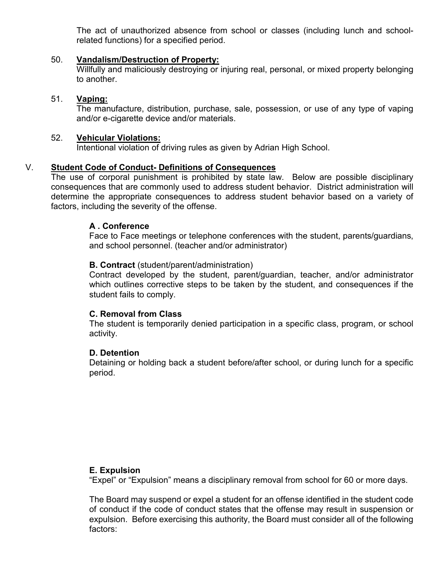The act of unauthorized absence from school or classes (including lunch and schoolrelated functions) for a specified period.

#### 50. **Vandalism/Destruction of Property:**

Willfully and maliciously destroying or injuring real, personal, or mixed property belonging to another.

#### 51. **Vaping:**

The manufacture, distribution, purchase, sale, possession, or use of any type of vaping and/or e-cigarette device and/or materials.

#### 52. **Vehicular Violations:**

Intentional violation of driving rules as given by Adrian High School.

### V. **Student Code of Conduct- Definitions of Consequences**

The use of corporal punishment is prohibited by state law. Below are possible disciplinary consequences that are commonly used to address student behavior. District administration will determine the appropriate consequences to address student behavior based on a variety of factors, including the severity of the offense.

#### **A . Conference**

Face to Face meetings or telephone conferences with the student, parents/guardians, and school personnel. (teacher and/or administrator)

#### **B. Contract** (student/parent/administration)

Contract developed by the student, parent/guardian, teacher, and/or administrator which outlines corrective steps to be taken by the student, and consequences if the student fails to comply.

# **C. Removal from Class**

The student is temporarily denied participation in a specific class, program, or school activity.

#### **D. Detention**

Detaining or holding back a student before/after school, or during lunch for a specific period.

#### **E. Expulsion**

"Expel" or "Expulsion" means a disciplinary removal from school for 60 or more days.

The Board may suspend or expel a student for an offense identified in the student code of conduct if the code of conduct states that the offense may result in suspension or expulsion. Before exercising this authority, the Board must consider all of the following factors: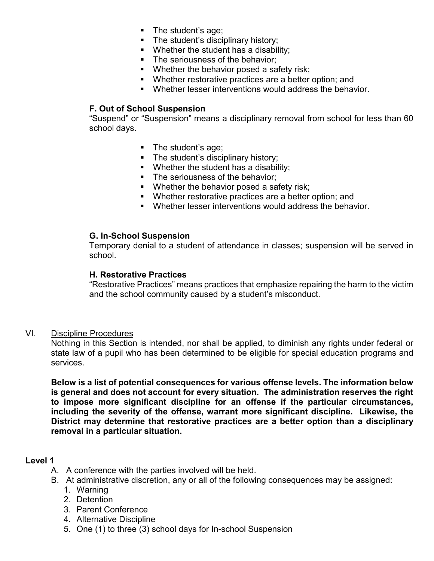- The student's age;
- The student's disciplinary history;
- **Whether the student has a disability;**
- **The seriousness of the behavior:**
- **Whether the behavior posed a safety risk;**
- Whether restorative practices are a better option; and
- **Whether lesser interventions would address the behavior.**

# **F. Out of School Suspension**

"Suspend" or "Suspension" means a disciplinary removal from school for less than 60 school days.

- The student's age;
- The student's disciplinary history;
- **Whether the student has a disability;**
- The seriousness of the behavior:
- **Whether the behavior posed a safety risk;**
- Whether restorative practices are a better option; and
- Whether lesser interventions would address the behavior.

# **G. In-School Suspension**

Temporary denial to a student of attendance in classes; suspension will be served in school.

# **H. Restorative Practices**

"Restorative Practices" means practices that emphasize repairing the harm to the victim and the school community caused by a student's misconduct.

# VI. Discipline Procedures

Nothing in this Section is intended, nor shall be applied, to diminish any rights under federal or state law of a pupil who has been determined to be eligible for special education programs and services.

**Below is a list of potential consequences for various offense levels. The information below is general and does not account for every situation. The administration reserves the right to impose more significant discipline for an offense if the particular circumstances, including the severity of the offense, warrant more significant discipline. Likewise, the District may determine that restorative practices are a better option than a disciplinary removal in a particular situation.**

# **Level 1**

- A. A conference with the parties involved will be held.
- B. At administrative discretion, any or all of the following consequences may be assigned:
	- 1. Warning
	- 2. Detention
	- 3. Parent Conference
	- 4. Alternative Discipline
	- 5. One (1) to three (3) school days for In-school Suspension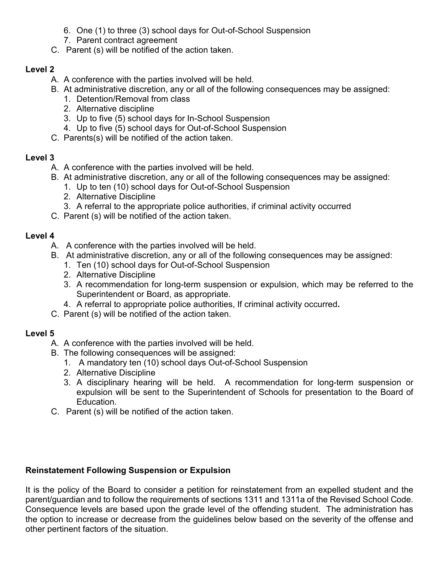- 6. One (1) to three (3) school days for Out-of-School Suspension
- 7. Parent contract agreement
- C. Parent (s) will be notified of the action taken.

# **Level 2**

- A. A conference with the parties involved will be held.
- B. At administrative discretion, any or all of the following consequences may be assigned:
	- 1. Detention/Removal from class
	- 2. Alternative discipline
	- 3. Up to five (5) school days for In-School Suspension
	- 4. Up to five (5) school days for Out-of-School Suspension
- C. Parents(s) will be notified of the action taken.

# **Level 3**

- A. A conference with the parties involved will be held.
- B. At administrative discretion, any or all of the following consequences may be assigned:
	- 1. Up to ten (10) school days for Out-of-School Suspension
	- 2. Alternative Discipline
	- 3. A referral to the appropriate police authorities, if criminal activity occurred
- C. Parent (s) will be notified of the action taken.

# **Level 4**

- A. A conference with the parties involved will be held.
- B. At administrative discretion, any or all of the following consequences may be assigned:
	- 1. Ten (10) school days for Out-of-School Suspension
	- 2. Alternative Discipline
	- 3. A recommendation for long-term suspension or expulsion, which may be referred to the Superintendent or Board, as appropriate.
	- 4. A referral to appropriate police authorities, If criminal activity occurred**.**
- C. Parent (s) will be notified of the action taken.

# **Level 5**

- A. A conference with the parties involved will be held.
- B. The following consequences will be assigned:
	- 1. A mandatory ten (10) school days Out-of-School Suspension
	- 2. Alternative Discipline
	- 3. A disciplinary hearing will be held. A recommendation for long-term suspension or expulsion will be sent to the Superintendent of Schools for presentation to the Board of Education.
- C. Parent (s) will be notified of the action taken.

# **Reinstatement Following Suspension or Expulsion**

It is the policy of the Board to consider a petition for reinstatement from an expelled student and the parent/guardian and to follow the requirements of sections 1311 and 1311a of the Revised School Code. Consequence levels are based upon the grade level of the offending student. The administration has the option to increase or decrease from the guidelines below based on the severity of the offense and other pertinent factors of the situation.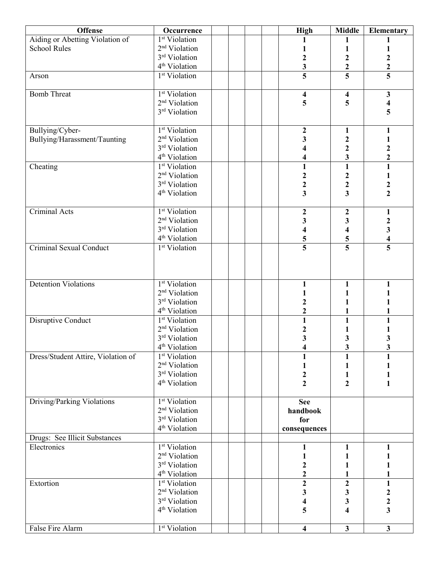| <b>Offense</b>                     | Occurrence                |  |  | <b>High</b>                  | <b>Middle</b>                | Elementary                                  |
|------------------------------------|---------------------------|--|--|------------------------------|------------------------------|---------------------------------------------|
| Aiding or Abetting Violation of    | 1 <sup>st</sup> Violation |  |  |                              | 1                            |                                             |
| <b>School Rules</b>                | 2 <sup>nd</sup> Violation |  |  |                              | 1                            | 1                                           |
|                                    | 3rd Violation             |  |  | $\overline{\mathbf{c}}$      | $\mathbf 2$                  |                                             |
|                                    | 4 <sup>th</sup> Violation |  |  | 3                            | $\overline{\mathbf{c}}$      | $\frac{2}{5}$                               |
| Arson                              | 1 <sup>st</sup> Violation |  |  | $\overline{\mathbf{5}}$      | $\overline{\mathbf{5}}$      |                                             |
|                                    |                           |  |  |                              |                              |                                             |
| <b>Bomb Threat</b>                 | 1 <sup>st</sup> Violation |  |  | 4                            | 4                            | $\mathbf{3}$                                |
|                                    | 2 <sup>nd</sup> Violation |  |  | 5                            | 5                            | $\overline{\mathbf{4}}$                     |
|                                    | 3rd Violation             |  |  |                              |                              | 5                                           |
|                                    |                           |  |  |                              |                              |                                             |
| Bullying/Cyber-                    | 1 <sup>st</sup> Violation |  |  | $\boldsymbol{2}$             | $\mathbf{1}$                 | $\mathbf{1}$                                |
| Bullying/Harassment/Taunting       | 2 <sup>nd</sup> Violation |  |  | 3                            | $\mathbf{2}$                 | $\mathbf{1}$                                |
|                                    | 3rd Violation             |  |  |                              | $\overline{\mathbf{c}}$      | $\overline{\mathbf{c}}$                     |
|                                    | 4 <sup>th</sup> Violation |  |  |                              | 3                            | $\overline{\mathbf{c}}$                     |
| Cheating                           | 1 <sup>st</sup> Violation |  |  | 1                            | $\mathbf{1}$                 | $\mathbf{1}$                                |
|                                    | 2 <sup>nd</sup> Violation |  |  | $\mathbf 2$                  | $\frac{2}{2}$                | $\mathbf{1}$                                |
|                                    | 3 <sup>rd</sup> Violation |  |  | $\frac{2}{3}$                |                              | $\frac{2}{2}$                               |
|                                    | 4 <sup>th</sup> Violation |  |  |                              | $\overline{\mathbf{3}}$      |                                             |
| Criminal Acts                      | 1 <sup>st</sup> Violation |  |  |                              |                              |                                             |
|                                    | 2 <sup>nd</sup> Violation |  |  | $\boldsymbol{2}$             | $\boldsymbol{2}$             | 1                                           |
|                                    | 3rd Violation             |  |  | 3<br>$\overline{\mathbf{4}}$ | 3                            | $\boldsymbol{2}$<br>$\overline{\mathbf{3}}$ |
|                                    | 4 <sup>th</sup> Violation |  |  |                              | 4                            | $\overline{\mathbf{4}}$                     |
| <b>Criminal Sexual Conduct</b>     | 1 <sup>st</sup> Violation |  |  | 5                            | 5<br>$\overline{\mathbf{5}}$ | $\overline{\overline{\overline{5}}}$        |
|                                    |                           |  |  |                              |                              |                                             |
|                                    |                           |  |  |                              |                              |                                             |
|                                    |                           |  |  |                              |                              |                                             |
| <b>Detention Violations</b>        | <sup>1st</sup> Violation  |  |  | $\mathbf{1}$                 | $\mathbf{1}$                 | 1                                           |
|                                    | 2 <sup>nd</sup> Violation |  |  |                              | $\mathbf{1}$                 |                                             |
|                                    | 3rd Violation             |  |  | $\mathbf 2$                  |                              |                                             |
|                                    | 4 <sup>th</sup> Violation |  |  | $\mathbf 2$                  | 1                            |                                             |
| Disruptive Conduct                 | 1 <sup>st</sup> Violation |  |  | $\mathbf{1}$                 | $\mathbf{1}$                 | $\mathbf{1}$                                |
|                                    | 2 <sup>nd</sup> Violation |  |  | $\boldsymbol{2}$             | 1                            |                                             |
|                                    | 3rd Violation             |  |  | $\overline{\mathbf{3}}$      | 3                            | 3                                           |
|                                    | 4 <sup>th</sup> Violation |  |  | 4                            | 3                            | 3                                           |
| Dress/Student Attire, Violation of | 1 <sup>st</sup> Violation |  |  |                              |                              |                                             |
|                                    | 2 <sup>nd</sup> Violation |  |  |                              | 1                            |                                             |
|                                    | 3rd Violation             |  |  | $\boldsymbol{2}$             | $\mathbf{1}$                 |                                             |
|                                    | 4 <sup>th</sup> Violation |  |  | $\overline{2}$               | $\overline{2}$               | $\mathbf{1}$                                |
|                                    |                           |  |  |                              |                              |                                             |
| Driving/Parking Violations         | 1 <sup>st</sup> Violation |  |  | <b>See</b>                   |                              |                                             |
|                                    | 2 <sup>nd</sup> Violation |  |  | handbook                     |                              |                                             |
|                                    | 3rd Violation             |  |  | for                          |                              |                                             |
|                                    | 4 <sup>th</sup> Violation |  |  | consequences                 |                              |                                             |
| Drugs: See Illicit Substances      |                           |  |  |                              |                              |                                             |
| Electronics                        | 1 <sup>st</sup> Violation |  |  | 1                            | 1                            | 1                                           |
|                                    | 2 <sup>nd</sup> Violation |  |  |                              |                              |                                             |
|                                    | 3rd Violation             |  |  | 2                            | 1                            | 1                                           |
|                                    | 4 <sup>th</sup> Violation |  |  | $\overline{\mathbf{c}}$      |                              | 1                                           |
| Extortion                          | 1 <sup>st</sup> Violation |  |  | $\overline{\mathbf{c}}$      | $\mathbf 2$                  | $\mathbf{1}$                                |
|                                    | 2 <sup>nd</sup> Violation |  |  | 3                            | 3                            | $\boldsymbol{2}$                            |
|                                    | 3rd Violation             |  |  | 4                            | 3                            | $\boldsymbol{2}$                            |
|                                    | 4 <sup>th</sup> Violation |  |  | 5                            | 4                            | $\overline{\mathbf{3}}$                     |
|                                    |                           |  |  |                              |                              |                                             |
| False Fire Alarm                   | 1 <sup>st</sup> Violation |  |  | $\overline{\mathbf{4}}$      | $\mathbf{3}$                 | $\overline{\mathbf{3}}$                     |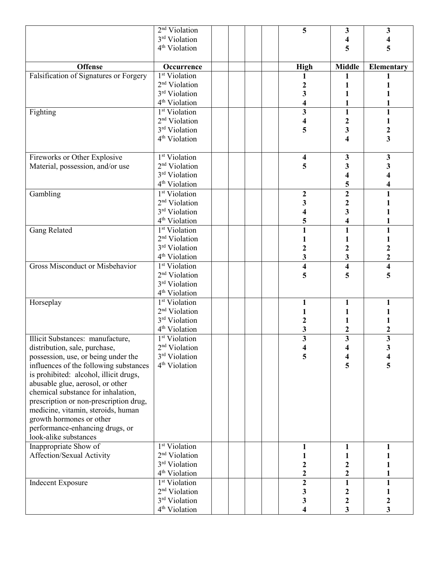|                                        | $2nd$ Violation                            |  |  | 5                       | 3                                           | 3                       |
|----------------------------------------|--------------------------------------------|--|--|-------------------------|---------------------------------------------|-------------------------|
|                                        | 3rd Violation                              |  |  |                         | 4                                           |                         |
|                                        | 4 <sup>th</sup> Violation                  |  |  |                         | 5                                           | 5                       |
|                                        |                                            |  |  |                         |                                             |                         |
| <b>Offense</b>                         | Occurrence                                 |  |  | <b>High</b>             | <b>Middle</b>                               | Elementary              |
| Falsification of Signatures or Forgery | 1 <sup>st</sup> Violation                  |  |  |                         | 1                                           |                         |
|                                        | 2 <sup>nd</sup> Violation                  |  |  | 2                       |                                             |                         |
|                                        | 3 <sup>rd</sup> Violation                  |  |  | 3                       |                                             |                         |
|                                        | 4 <sup>th</sup> Violation                  |  |  |                         |                                             |                         |
| Fighting                               | 1 <sup>st</sup> Violation                  |  |  | 3                       | $\mathbf{1}$                                | 1                       |
|                                        | 2 <sup>nd</sup> Violation                  |  |  | 4                       | $\mathbf 2$                                 |                         |
|                                        | 3 <sup>rd</sup> Violation                  |  |  | 5                       | 3                                           | $\boldsymbol{2}$        |
|                                        | 4 <sup>th</sup> Violation                  |  |  |                         | 4                                           | $\overline{\mathbf{3}}$ |
| Fireworks or Other Explosive           | 1 <sup>st</sup> Violation                  |  |  | 4                       | 3                                           | $\mathbf{3}$            |
| Material, possession, and/or use       | 2 <sup>nd</sup> Violation                  |  |  | 5                       | 3                                           | 3                       |
|                                        | 3rd Violation                              |  |  |                         | 4                                           |                         |
|                                        | 4 <sup>th</sup> Violation                  |  |  |                         | 5                                           | 4                       |
| Gambling                               | 1 <sup>st</sup> Violation                  |  |  | $\boldsymbol{2}$        | $\overline{2}$                              | $\mathbf{1}$            |
|                                        | 2 <sup>nd</sup> Violation                  |  |  | 3                       | $\mathbf{2}$                                |                         |
|                                        | 3 <sup>rd</sup> Violation                  |  |  | 4                       | 3                                           |                         |
|                                        | 4 <sup>th</sup> Violation                  |  |  | 5                       | 4                                           |                         |
| <b>Gang Related</b>                    | 1 <sup>st</sup> Violation                  |  |  | $\mathbf{1}$            | $\mathbf{1}$                                | 1                       |
|                                        | 2 <sup>nd</sup> Violation                  |  |  |                         | 1                                           | 1                       |
|                                        | 3rd Violation                              |  |  | $\overline{2}$          | $\overline{\mathbf{c}}$                     | $\boldsymbol{2}$        |
|                                        | 4 <sup>th</sup> Violation                  |  |  | 3                       | 3                                           | $\overline{\mathbf{c}}$ |
| <b>Gross Misconduct or Misbehavior</b> | 1 <sup>st</sup> Violation                  |  |  | $\overline{\mathbf{4}}$ | $\overline{\mathbf{4}}$                     | $\overline{\mathbf{4}}$ |
|                                        | 2 <sup>nd</sup> Violation                  |  |  | 5                       | 5                                           | 5                       |
|                                        | 3rd Violation                              |  |  |                         |                                             |                         |
|                                        | 4 <sup>th</sup> Violation                  |  |  |                         |                                             |                         |
| Horseplay                              | 1 <sup>st</sup> Violation                  |  |  |                         | 1                                           |                         |
|                                        | 2 <sup>nd</sup> Violation                  |  |  |                         |                                             |                         |
|                                        | 3 <sup>rd</sup> Violation                  |  |  | 2                       |                                             |                         |
|                                        | 4 <sup>th</sup> Violation                  |  |  | 3                       | 2                                           | $\mathbf 2$             |
| Illicit Substances: manufacture,       | 1 <sup>st</sup> Violation                  |  |  | $\overline{\mathbf{3}}$ | $\overline{\mathbf{3}}$                     | $\overline{\mathbf{3}}$ |
| distribution, sale, purchase,          | 2 <sup>nd</sup> Violation                  |  |  | 4                       | 4                                           | 3                       |
| possession, use, or being under the    | 3 <sup>rd</sup> Violation                  |  |  | 5                       |                                             |                         |
| influences of the following substances | 4 <sup>th</sup> Violation                  |  |  |                         | 5                                           | 5                       |
| is prohibited: alcohol, illicit drugs, |                                            |  |  |                         |                                             |                         |
| abusable glue, aerosol, or other       |                                            |  |  |                         |                                             |                         |
| chemical substance for inhalation,     |                                            |  |  |                         |                                             |                         |
| prescription or non-prescription drug, |                                            |  |  |                         |                                             |                         |
| medicine, vitamin, steroids, human     |                                            |  |  |                         |                                             |                         |
| growth hormones or other               |                                            |  |  |                         |                                             |                         |
| performance-enhancing drugs, or        |                                            |  |  |                         |                                             |                         |
| look-alike substances                  |                                            |  |  |                         |                                             |                         |
| Inappropriate Show of                  | 1 <sup>st</sup> Violation                  |  |  |                         | 1                                           |                         |
| Affection/Sexual Activity              | 2 <sup>nd</sup> Violation<br>3rd Violation |  |  |                         | 1                                           |                         |
|                                        | 4 <sup>th</sup> Violation                  |  |  | 2<br>$\overline{2}$     | $\boldsymbol{2}$<br>$\overline{\mathbf{2}}$ |                         |
|                                        | 1 <sup>st</sup> Violation                  |  |  | $\overline{2}$          | $\mathbf{1}$                                | $\mathbf{1}$            |
| <b>Indecent Exposure</b>               | 2 <sup>nd</sup> Violation                  |  |  | 3                       | $\boldsymbol{2}$                            |                         |
|                                        | 3rd Violation                              |  |  | 3                       | $\boldsymbol{2}$                            | $\boldsymbol{2}$        |
|                                        | 4 <sup>th</sup> Violation                  |  |  | 4                       | 3                                           | 3                       |
|                                        |                                            |  |  |                         |                                             |                         |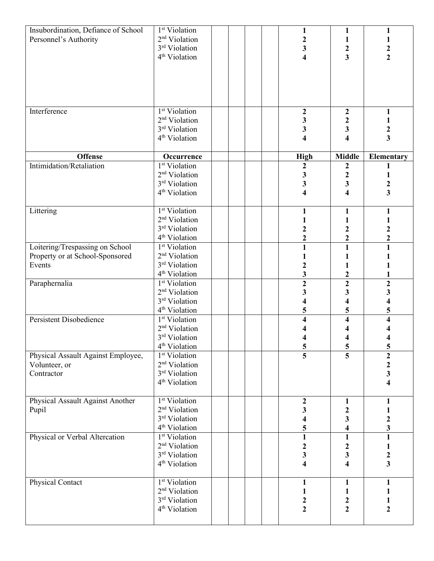| Insubordination, Defiance of School<br>Personnel's Authority | 1 <sup>st</sup> Violation<br>2 <sup>nd</sup> Violation<br>3rd Violation<br>4 <sup>th</sup> Violation |  |  | 1<br>$\boldsymbol{2}$<br>$\overline{\mathbf{3}}$<br>4 | 1<br>$\mathbf{1}$<br>$\boldsymbol{2}$<br>$\overline{\mathbf{3}}$ | 1<br>1<br>$\frac{2}{2}$                    |
|--------------------------------------------------------------|------------------------------------------------------------------------------------------------------|--|--|-------------------------------------------------------|------------------------------------------------------------------|--------------------------------------------|
|                                                              |                                                                                                      |  |  |                                                       |                                                                  |                                            |
| Interference                                                 | 1 <sup>st</sup> Violation                                                                            |  |  | $\boldsymbol{2}$                                      | $\boldsymbol{2}$                                                 | $\mathbf{1}$                               |
|                                                              | 2 <sup>nd</sup> Violation<br>3rd Violation                                                           |  |  | 3<br>3                                                | $\overline{\mathbf{c}}$<br>3                                     | $\mathbf{1}$<br>$\boldsymbol{2}$           |
|                                                              | 4 <sup>th</sup> Violation                                                                            |  |  | $\overline{\mathbf{4}}$                               | 4                                                                | $\overline{\mathbf{3}}$                    |
| <b>Offense</b>                                               | Occurrence                                                                                           |  |  | <b>High</b>                                           | <b>Middle</b>                                                    | <b>Elementary</b>                          |
| Intimidation/Retaliation                                     | <sup>1st</sup> Violation                                                                             |  |  | $\boldsymbol{2}$                                      | $\boldsymbol{2}$                                                 |                                            |
|                                                              | 2 <sup>nd</sup> Violation                                                                            |  |  | 3                                                     | $\overline{\mathbf{c}}$                                          | 1                                          |
|                                                              | 3rd Violation                                                                                        |  |  | 3                                                     | $\mathbf{3}$                                                     | $\frac{2}{3}$                              |
|                                                              | 4 <sup>th</sup> Violation                                                                            |  |  | 4                                                     | $\overline{\mathbf{4}}$                                          |                                            |
| Littering                                                    | 1 <sup>st</sup> Violation                                                                            |  |  | 1                                                     | $\mathbf{1}$                                                     |                                            |
|                                                              | 2 <sup>nd</sup> Violation                                                                            |  |  |                                                       | 1                                                                |                                            |
|                                                              | 3rd Violation                                                                                        |  |  | $\overline{\mathbf{c}}$                               | $\boldsymbol{2}$                                                 |                                            |
|                                                              | 4 <sup>th</sup> Violation                                                                            |  |  | $\overline{\mathbf{2}}$                               | $\overline{\mathbf{c}}$                                          | $\frac{2}{2}$                              |
| Loitering/Trespassing on School                              | 1 <sup>st</sup> Violation                                                                            |  |  | $\mathbf{1}$                                          | $\overline{\mathbf{1}}$                                          | $\overline{1}$                             |
| Property or at School-Sponsored                              | 2 <sup>nd</sup> Violation                                                                            |  |  |                                                       | 1                                                                |                                            |
| Events                                                       | 3 <sup>rd</sup> Violation                                                                            |  |  | $\mathbf{2}$                                          | 1                                                                |                                            |
|                                                              | 4 <sup>th</sup> Violation                                                                            |  |  | 3                                                     | $\overline{\mathbf{c}}$                                          |                                            |
| Paraphernalia                                                | 1 <sup>st</sup> Violation                                                                            |  |  | $\overline{2}$                                        | $\overline{2}$                                                   | $\overline{2}$                             |
|                                                              | 2 <sup>nd</sup> Violation<br>3rd Violation                                                           |  |  | 3                                                     | 3                                                                | $\overline{\mathbf{3}}$                    |
|                                                              | 4 <sup>th</sup> Violation                                                                            |  |  | 5                                                     | $\overline{\mathbf{4}}$<br>5                                     | 4<br>5                                     |
| Persistent Disobedience                                      | 1 <sup>st</sup> Violation                                                                            |  |  | 4                                                     | $\overline{\mathbf{4}}$                                          | $\overline{\mathbf{4}}$                    |
|                                                              | 2 <sup>nd</sup> Violation                                                                            |  |  |                                                       |                                                                  |                                            |
|                                                              | 3rd Violation                                                                                        |  |  |                                                       | 4                                                                |                                            |
|                                                              | 4 <sup>th</sup> Violation                                                                            |  |  |                                                       | $\overline{\mathbf{5}}$                                          | $\overline{\mathbf{5}}$                    |
| Physical Assault Against Employee,                           | $1st$ Violation                                                                                      |  |  | $\frac{5}{5}$                                         | $\overline{5}$                                                   | $\overline{2}$                             |
| Volunteer, or                                                | 2 <sup>nd</sup> Violation                                                                            |  |  |                                                       |                                                                  |                                            |
| Contractor                                                   | 3rd Violation                                                                                        |  |  |                                                       |                                                                  | $\begin{array}{c} 2 \\ 3 \\ 4 \end{array}$ |
|                                                              | 4 <sup>th</sup> Violation                                                                            |  |  |                                                       |                                                                  |                                            |
| Physical Assault Against Another                             | $1st$ Violation                                                                                      |  |  | 2                                                     | 1                                                                | $\mathbf{1}$                               |
| Pupil                                                        | 2 <sup>nd</sup> Violation                                                                            |  |  | 3                                                     | $\boldsymbol{2}$                                                 | 1                                          |
|                                                              | 3rd Violation                                                                                        |  |  | 4                                                     | 3                                                                | $\boldsymbol{2}$                           |
|                                                              | 4 <sup>th</sup> Violation                                                                            |  |  | 5                                                     | 4                                                                | 3                                          |
| Physical or Verbal Altercation                               | 1 <sup>st</sup> Violation                                                                            |  |  | $\mathbf{1}$                                          | $\mathbf{1}$                                                     | $\mathbf{1}$                               |
|                                                              | 2 <sup>nd</sup> Violation                                                                            |  |  | 2                                                     | $\boldsymbol{2}$                                                 | 1                                          |
|                                                              | 3rd Violation                                                                                        |  |  | 3                                                     | $\mathbf{3}$                                                     | $\frac{2}{3}$                              |
|                                                              | 4 <sup>th</sup> Violation                                                                            |  |  | 4                                                     | 4                                                                |                                            |
| Physical Contact                                             | 1 <sup>st</sup> Violation                                                                            |  |  | 1                                                     | $\mathbf{1}$                                                     | $\mathbf{1}$                               |
|                                                              | 2 <sup>nd</sup> Violation                                                                            |  |  |                                                       | $\mathbf{1}$                                                     | 1                                          |
|                                                              | 3rd Violation                                                                                        |  |  | $\boldsymbol{2}$                                      | $\boldsymbol{2}$                                                 | $\mathbf{1}$                               |
|                                                              | 4 <sup>th</sup> Violation                                                                            |  |  | $\overline{2}$                                        | $\overline{2}$                                                   | $\overline{2}$                             |
|                                                              |                                                                                                      |  |  |                                                       |                                                                  |                                            |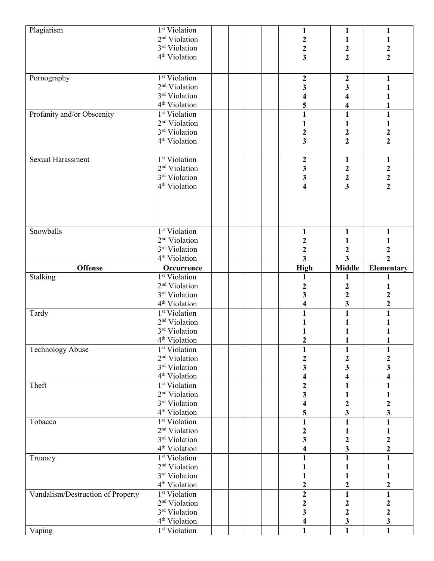| Plagiarism                        | 1 <sup>st</sup> Violation                              |  | 1                       | $\mathbf{1}$            | 1                                          |
|-----------------------------------|--------------------------------------------------------|--|-------------------------|-------------------------|--------------------------------------------|
|                                   | 2 <sup>nd</sup> Violation                              |  |                         | 1                       |                                            |
|                                   | 3rd Violation                                          |  |                         | $\boldsymbol{2}$        |                                            |
|                                   | 4 <sup>th</sup> Violation                              |  | $\frac{2}{3}$           | $\overline{2}$          | $\frac{2}{2}$                              |
|                                   |                                                        |  |                         |                         |                                            |
|                                   |                                                        |  |                         |                         |                                            |
| Pornography                       | 1 <sup>st</sup> Violation                              |  | $\boldsymbol{2}$        | $\boldsymbol{2}$        | 1                                          |
|                                   | 2 <sup>nd</sup> Violation                              |  | 3                       | 3                       |                                            |
|                                   | 3rd Violation                                          |  | 4                       | $\overline{\mathbf{4}}$ |                                            |
|                                   | 4 <sup>th</sup> Violation                              |  | 5                       | 4                       |                                            |
| Profanity and/or Obscenity        | 1 <sup>st</sup> Violation                              |  | $\mathbf{1}$            | $\mathbf{1}$            | $\mathbf{1}$                               |
|                                   | 2 <sup>nd</sup> Violation                              |  | 1                       | $\mathbf{1}$            | 1                                          |
|                                   | 3rd Violation                                          |  | $\mathbf{2}$            |                         |                                            |
|                                   | 4 <sup>th</sup> Violation                              |  | $\overline{\mathbf{3}}$ | $\frac{2}{2}$           | $\frac{2}{2}$                              |
|                                   |                                                        |  |                         |                         |                                            |
| Sexual Harassment                 | 1 <sup>st</sup> Violation                              |  | $\boldsymbol{2}$        | $\mathbf{1}$            | $\mathbf{1}$                               |
|                                   | 2 <sup>nd</sup> Violation                              |  | $\mathbf{3}$            | $\boldsymbol{2}$        |                                            |
|                                   | 3rd Violation                                          |  | $\mathbf{3}$            |                         |                                            |
|                                   | 4 <sup>th</sup> Violation                              |  | $\overline{\mathbf{4}}$ | $\frac{2}{3}$           | $\begin{array}{c} 2 \\ 2 \\ 2 \end{array}$ |
|                                   |                                                        |  |                         |                         |                                            |
|                                   |                                                        |  |                         |                         |                                            |
|                                   |                                                        |  |                         |                         |                                            |
|                                   |                                                        |  |                         |                         |                                            |
| Snowballs                         | <sup>1st</sup> Violation                               |  | $\mathbf{1}$            | $\mathbf{1}$            | 1                                          |
|                                   | 2 <sup>nd</sup> Violation                              |  |                         |                         |                                            |
|                                   | 3rd Violation                                          |  | $\boldsymbol{2}$        | $\mathbf{1}$            |                                            |
|                                   |                                                        |  | $\mathbf 2$             | $\boldsymbol{2}$        | $\mathbf 2$                                |
|                                   | 4 <sup>th</sup> Violation                              |  | $\overline{\mathbf{3}}$ | $\overline{\mathbf{3}}$ | $\overline{2}$                             |
| <b>Offense</b>                    | Occurrence                                             |  | <b>High</b>             | <b>Middle</b>           | <b>Elementary</b>                          |
| Stalking                          | 1 <sup>st</sup> Violation                              |  | 1                       | 1                       | 1                                          |
|                                   | 2 <sup>nd</sup> Violation                              |  | 2                       | $\boldsymbol{2}$        |                                            |
|                                   |                                                        |  |                         |                         |                                            |
|                                   | 3rd Violation                                          |  | 3                       | $\mathbf 2$             | $\boldsymbol{2}$                           |
|                                   | 4 <sup>th</sup> Violation                              |  | 4                       | $\overline{\mathbf{3}}$ | $\overline{\mathbf{c}}$                    |
|                                   |                                                        |  | $\mathbf{1}$            | $\overline{1}$          | $\overline{1}$                             |
| Tardy                             | <sup>1st</sup> Violation                               |  |                         |                         |                                            |
|                                   | 2 <sup>nd</sup> Violation                              |  |                         | 1                       |                                            |
|                                   | 3rd Violation                                          |  | $\mathfrak{D}$          |                         |                                            |
|                                   | 4 <sup>th</sup> Violation                              |  |                         |                         |                                            |
| <b>Technology Abuse</b>           | $1st$ Violation                                        |  | 1                       | 1                       | 1                                          |
|                                   | 2 <sup>nd</sup> Violation                              |  | 2                       | 2                       | 2                                          |
|                                   | 3rd Violation                                          |  | 3                       | 3                       | 3                                          |
|                                   | 4 <sup>th</sup> Violation                              |  |                         | 4                       | 4                                          |
| Theft                             | $1st$ Violation                                        |  | $\overline{2}$          | $\mathbf{1}$            | $\mathbf{1}$                               |
|                                   | 2 <sup>nd</sup> Violation                              |  | 3                       | $\mathbf{1}$            |                                            |
|                                   | 3rd Violation                                          |  | 4                       | $\boldsymbol{2}$        | 2                                          |
|                                   | 4 <sup>th</sup> Violation                              |  | 5                       | $\overline{\mathbf{3}}$ | $\overline{\mathbf{3}}$                    |
| Tobacco                           | 1 <sup>st</sup> Violation                              |  | $\mathbf{1}$            | $\mathbf{1}$            | $\mathbf{1}$                               |
|                                   | 2 <sup>nd</sup> Violation                              |  | 2                       | 1                       |                                            |
|                                   |                                                        |  |                         |                         |                                            |
|                                   | 3rd Violation                                          |  | 3                       | $\boldsymbol{2}$        | $\boldsymbol{2}$                           |
| Truancy                           | 4 <sup>th</sup> Violation<br>1 <sup>st</sup> Violation |  |                         | 3<br>$\mathbf{1}$       | $\overline{\mathbf{c}}$<br>1               |
|                                   | 2 <sup>nd</sup> Violation                              |  |                         | 1                       |                                            |
|                                   |                                                        |  |                         | 1                       |                                            |
|                                   | 3rd Violation<br>4 <sup>th</sup> Violation             |  | 2                       | $\mathbf{2}$            | $\mathbf 2$                                |
|                                   |                                                        |  |                         |                         | $\mathbf{1}$                               |
| Vandalism/Destruction of Property | 1 <sup>st</sup> Violation                              |  | $\boldsymbol{2}$        | $\mathbf{1}$            |                                            |
|                                   | 2 <sup>nd</sup> Violation                              |  | $\boldsymbol{2}$        | $\boldsymbol{2}$        | $\boldsymbol{2}$                           |
|                                   | 3rd Violation                                          |  | 3                       | $\boldsymbol{2}$        | $\overline{\mathbf{c}}$                    |
| Vaping                            | 4 <sup>th</sup> Violation<br><sup>1st</sup> Violation  |  | $\mathbf{1}$            | 3<br>$\mathbf{1}$       | $\overline{\mathbf{3}}$<br>$\mathbf{1}$    |